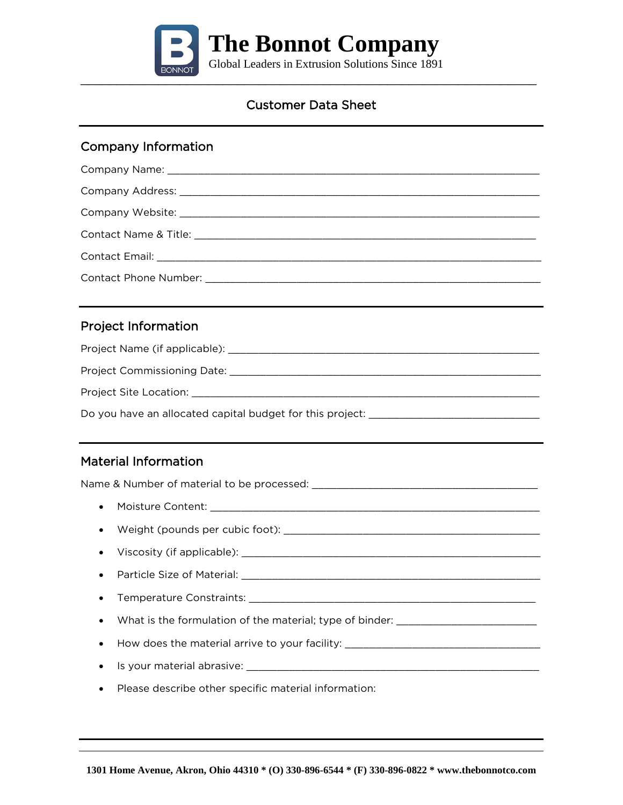

### Company Information

| <b>Project Information</b>                                                                                     |
|----------------------------------------------------------------------------------------------------------------|
|                                                                                                                |
|                                                                                                                |
|                                                                                                                |
|                                                                                                                |
|                                                                                                                |
| <b>Material Information</b>                                                                                    |
|                                                                                                                |
| $\bullet$                                                                                                      |
| $\bullet$                                                                                                      |
| $\bullet$                                                                                                      |
| Particle Size of Material: National According to the Contract of According to the Contract of According to the |
|                                                                                                                |
| What is the formulation of the material; type of binder: _______________________                               |
| How does the material arrive to your facility: _________________________________                               |
| $\bullet$                                                                                                      |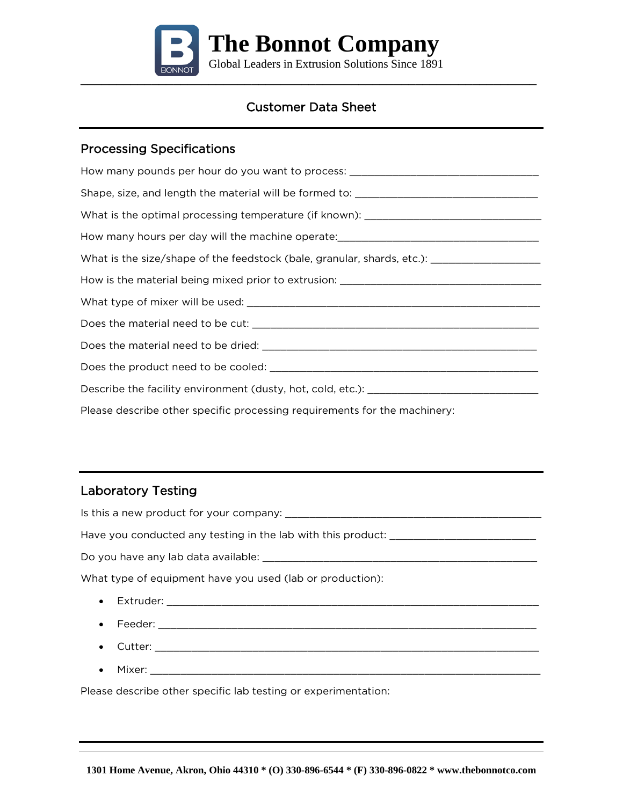

#### Processing Specifications

How many pounds per hour do you want to process: \_\_\_\_\_\_\_\_\_\_\_\_\_\_\_\_\_\_\_\_\_\_\_\_\_\_\_\_\_\_\_ Shape, size, and length the material will be formed to: \_\_\_\_\_\_\_\_\_\_\_\_\_\_\_\_\_\_\_\_\_\_\_\_\_ What is the optimal processing temperature (if known): \_\_\_\_\_\_\_\_\_\_\_\_\_\_\_\_\_\_\_\_\_\_\_\_\_ How many hours per day will the machine operate: \_\_\_\_\_\_\_\_\_\_\_\_\_\_\_\_\_\_\_\_\_\_\_\_\_\_\_\_\_\_\_ What is the size/shape of the feedstock (bale, granular, shards, etc.): \_\_\_\_\_\_\_\_\_\_\_\_\_\_\_\_\_\_ How is the material being mixed prior to extrusion: \_\_\_\_\_\_\_\_\_\_\_\_\_\_\_\_\_\_\_\_\_\_\_\_\_\_\_\_ What type of mixer will be used: \_\_\_\_\_\_\_\_\_\_\_\_\_\_\_\_\_\_\_\_\_\_\_\_\_\_\_\_\_\_\_\_\_\_\_\_\_\_\_\_\_\_\_\_\_\_\_\_ Does the material need to be cut: \_\_\_\_\_\_\_\_\_\_\_\_\_\_\_\_\_\_\_\_\_\_\_\_\_\_\_\_\_\_\_\_\_\_\_\_\_\_\_\_\_\_\_\_\_\_\_ Does the material need to be dried: \_\_\_\_\_\_\_\_\_\_\_\_\_\_\_\_\_\_\_\_\_\_\_\_\_\_\_\_\_\_\_\_\_\_\_\_\_\_\_\_\_\_\_\_\_ Does the product need to be cooled: \_\_\_\_\_\_\_\_\_\_\_\_\_\_\_\_\_\_\_\_\_\_\_\_\_\_\_\_\_\_\_\_\_\_\_\_\_\_\_\_\_\_\_\_ Describe the facility environment (dusty, hot, cold, etc.): \_\_\_\_\_\_\_\_\_\_\_\_\_\_\_\_\_\_\_\_\_ Please describe other specific processing requirements for the machinery:

## Laboratory Testing

| What type of equipment have you used (lab or production): |
|-----------------------------------------------------------|
|                                                           |
|                                                           |
| $\bullet$                                                 |
| Mixer:                                                    |

Please describe other specific lab testing or experimentation: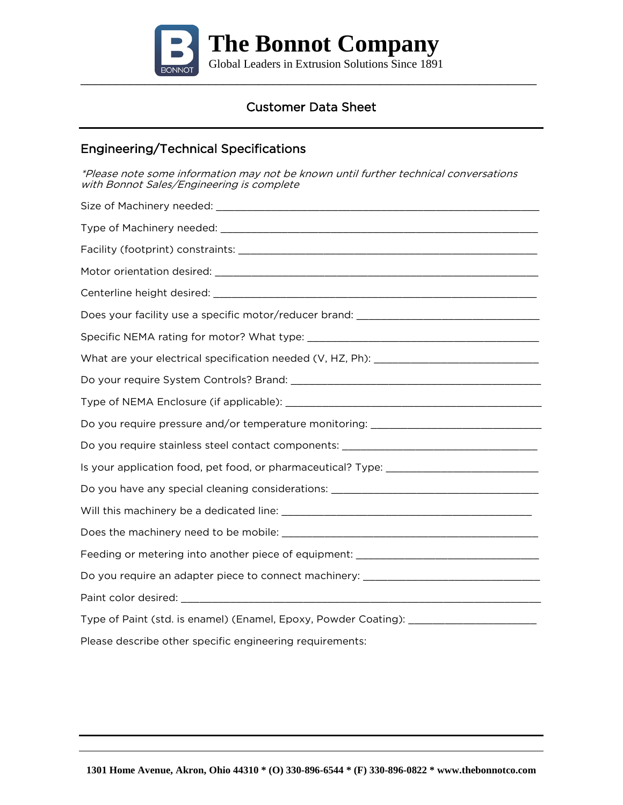

### Engineering/Technical Specifications

\*Please note some information may not be known until further technical conversations with Bonnot Sales/Engineering is complete

| Do you require pressure and/or temperature monitoring: _________________________  |
|-----------------------------------------------------------------------------------|
| Do you require stainless steel contact components: _____________________________  |
| Is your application food, pet food, or pharmaceutical? Type: ____________________ |
| Do you have any special cleaning considerations: _______________________________  |
|                                                                                   |
|                                                                                   |
| Feeding or metering into another piece of equipment: ___________________________  |
| Do you require an adapter piece to connect machinery: __________________________  |
|                                                                                   |
| Type of Paint (std. is enamel) (Enamel, Epoxy, Powder Coating): _________________ |
| Please describe other specific engineering requirements:                          |